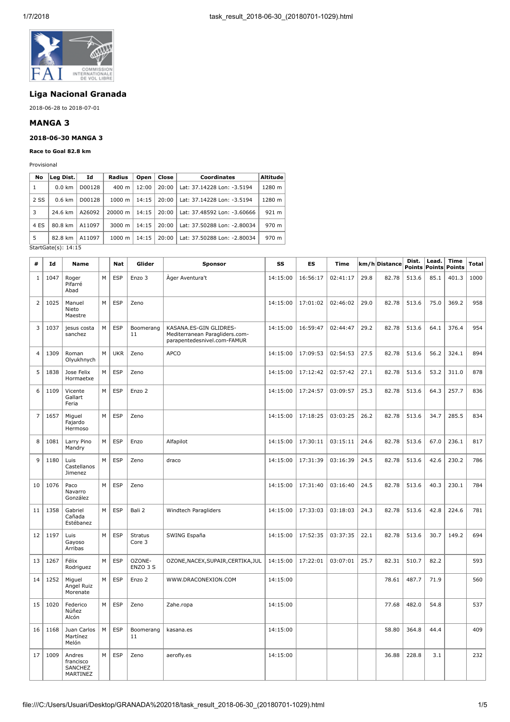

# **Liga Nacional Granada**

2018-06-28 to 2018-07-01

### **MANGA 3**

### **2018-06-30 MANGA 3**

#### **Race to Goal 82.8 km**

Provisional

| No   | Leg Dist.        | Id     | Radius             | Open  | Close | Coordinates                         | Altitude |
|------|------------------|--------|--------------------|-------|-------|-------------------------------------|----------|
| 1    | $0.0 \text{ km}$ | D00128 | $400 \; \text{m}$  | 12:00 | 20:00 | Lat: 37.14228 Lon: -3.5194          | 1280 m   |
| 2 SS | $0.6 \text{ km}$ | D00128 | 1000 m             | 14:15 | 20:00 | Lat: 37.14228 Lon: -3.5194          | 1280 m   |
| 3    | 24.6 km          | A26092 | 20000 m            | 14:15 |       | 20:00   Lat: 37.48592 Lon: -3.60666 | 921 m    |
| 4 ES | 80.8 km          | A11097 | $3000 \; \text{m}$ | 14:15 | 20:00 | Lat: 37.50288 Lon: -2.80034         | 970 m    |
| 5    | 82.8 km          | A11097 | $1000 \;{\rm m}$   | 14:15 | 20:00 | Lat: 37.50288 Lon: -2.80034         | 970 m    |

StartGate(s): 14:15

| #              | Id   | <b>Name</b>                                |   | <b>Nat</b> | Glider                   | Sponsor                                                                                 | SS       | ES       | <b>Time</b> |      | km/h Distance | Dist.<br><b>Points</b> | Lead.<br><b>Points</b> | <b>Time</b><br><b>Points</b> | <b>Total</b> |
|----------------|------|--------------------------------------------|---|------------|--------------------------|-----------------------------------------------------------------------------------------|----------|----------|-------------|------|---------------|------------------------|------------------------|------------------------------|--------------|
| 1              | 1047 | Roger<br>Pifarré<br>Abad                   | M | <b>ESP</b> | Enzo 3                   | Åger Aventura't                                                                         | 14:15:00 | 16:56:17 | 02:41:17    | 29.8 | 82.78         | 513.6                  | 85.1                   | 401.3                        | 1000         |
| $\overline{2}$ | 1025 | Manuel<br>Nieto<br>Maestre                 | M | <b>ESP</b> | Zeno                     |                                                                                         | 14:15:00 | 17:01:02 | 02:46:02    | 29.0 | 82.78         | 513.6                  | 75.0                   | 369.2                        | 958          |
| 3              | 1037 | jesus costa<br>sanchez                     | M | <b>ESP</b> | Boomerang<br>11          | KASANA.ES-GIN GLIDRES-<br>Mediterranean Paragliders.com-<br>parapentedesnivel.com-FAMUR | 14:15:00 | 16:59:47 | 02:44:47    | 29.2 | 82.78         | 513.6                  | 64.1                   | 376.4                        | 954          |
| $\overline{4}$ | 1309 | Roman<br>Olyukhnych                        | M | <b>UKR</b> | Zeno                     | <b>APCO</b>                                                                             | 14:15:00 | 17:09:53 | 02:54:53    | 27.5 | 82.78         | 513.6                  | 56.2                   | 324.1                        | 894          |
| 5              | 1838 | Jose Felix<br>Hormaetxe                    | M | <b>ESP</b> | Zeno                     |                                                                                         | 14:15:00 | 17:12:42 | 02:57:42    | 27.1 | 82.78         | 513.6                  | 53.2                   | 311.0                        | 878          |
| 6              | 1109 | Vicente<br>Gallart<br>Feria                | M | <b>ESP</b> | Enzo 2                   |                                                                                         | 14:15:00 | 17:24:57 | 03:09:57    | 25.3 | 82.78         | 513.6                  | 64.3                   | 257.7                        | 836          |
| $\overline{7}$ | 1657 | Miguel<br>Fajardo<br>Hermoso               | M | <b>ESP</b> | Zeno                     |                                                                                         | 14:15:00 | 17:18:25 | 03:03:25    | 26.2 | 82.78         | 513.6                  | 34.7                   | 285.5                        | 834          |
| 8              | 1081 | Larry Pino<br>Mandry                       | M | <b>ESP</b> | Enzo                     | Alfapilot                                                                               | 14:15:00 | 17:30:11 | 03:15:11    | 24.6 | 82.78         | 513.6                  | 67.0                   | 236.1                        | 817          |
| 9              | 1180 | Luis<br>Castellanos<br>Jimenez             | M | <b>ESP</b> | Zeno                     | draco                                                                                   | 14:15:00 | 17:31:39 | 03:16:39    | 24.5 | 82.78         | 513.6                  | 42.6                   | 230.2                        | 786          |
| 10             | 1076 | Paco<br>Navarro<br>González                | M | <b>ESP</b> | Zeno                     |                                                                                         | 14:15:00 | 17:31:40 | 03:16:40    | 24.5 | 82.78         | 513.6                  | 40.3                   | 230.1                        | 784          |
| 11             | 1358 | Gabriel<br>Cañada<br>Estébanez             | M | <b>ESP</b> | Bali 2                   | Windtech Paragliders                                                                    | 14:15:00 | 17:33:03 | 03:18:03    | 24.3 | 82.78         | 513.6                  | 42.8                   | 224.6                        | 781          |
| 12             | 1197 | Luis<br>Gayoso<br>Arribas                  | M | <b>ESP</b> | <b>Stratus</b><br>Core 3 | SWING España                                                                            | 14:15:00 | 17:52:35 | 03:37:35    | 22.1 | 82.78         | 513.6                  | 30.7                   | 149.2                        | 694          |
| 13             | 1267 | Félix<br>Rodriguez                         | M | <b>ESP</b> | OZONE-<br>ENZO 3 S       | OZONE, NACEX, SUPAIR, CERTIKA, JUL                                                      | 14:15:00 | 17:22:01 | 03:07:01    | 25.7 | 82.31         | 510.7                  | 82.2                   |                              | 593          |
| 14             | 1252 | Miguel<br>Angel Ruiz<br>Morenate           | M | <b>ESP</b> | Enzo 2                   | WWW.DRACONEXION.COM                                                                     | 14:15:00 |          |             |      | 78.61         | 487.7                  | 71.9                   |                              | 560          |
| 15             | 1020 | Federico<br>Núñez<br>Alcón                 | M | <b>ESP</b> | Zeno                     | Zahe.ropa                                                                               | 14:15:00 |          |             |      | 77.68         | 482.0                  | 54.8                   |                              | 537          |
| 16             | 1168 | Juan Carlos<br>Martínez<br>Melón           | M | <b>ESP</b> | Boomerang<br>11          | kasana.es                                                                               | 14:15:00 |          |             |      | 58.80         | 364.8                  | 44.4                   |                              | 409          |
| 17             | 1009 | Andres<br>francisco<br>SANCHEZ<br>MARTINEZ | M | <b>ESP</b> | Zeno                     | aerofly.es                                                                              | 14:15:00 |          |             |      | 36.88         | 228.8                  | 3.1                    |                              | 232          |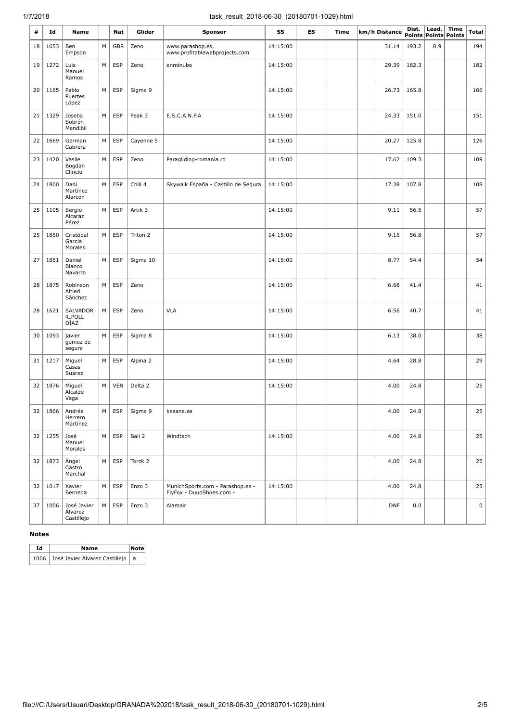# 1/7/2018 task\_result\_2018-06-30\_(20180701-1029).html

| #  | Ιd   | Name                                 |   | Nat        | Glider    | <b>Sponsor</b>                                               | SS       | ES | Time | km/h Distance | Dist. | Lead. | <b>Time</b><br>Points Points Points | Total          |
|----|------|--------------------------------------|---|------------|-----------|--------------------------------------------------------------|----------|----|------|---------------|-------|-------|-------------------------------------|----------------|
| 18 | 1653 | Ben<br>Empson                        | M | <b>GBR</b> | Zeno      | www.parashop.es,<br>www.profitablewebprojects.com            | 14:15:00 |    |      | 31.14         | 193.2 | 0.9   |                                     | 194            |
| 19 | 1272 | Luis<br>Manuel<br>Ramos              | M | <b>ESP</b> | Zeno      | enminube                                                     | 14:15:00 |    |      | 29.39         | 182.3 |       |                                     | 182            |
| 20 | 1165 | Pablo<br>Puertes<br>López            | M | <b>ESP</b> | Sigma 9   |                                                              | 14:15:00 |    |      | 26.73         | 165.8 |       |                                     | 166            |
| 21 | 1329 | Joseba<br>Sobrón<br>Mendibil         | M | <b>ESP</b> | Peak 3    | E.S.C.A.N.P.A                                                | 14:15:00 |    |      | 24.33         | 151.0 |       |                                     | 151            |
| 22 | 1669 | German<br>Cabrera                    | M | <b>ESP</b> | Cayenne 5 |                                                              | 14:15:00 |    |      | 20.27         | 125.8 |       |                                     | 126            |
| 23 | 1420 | Vasile<br>Bogdan<br>Clinciu          | M | <b>ESP</b> | Zeno      | Paragliding-romania.ro                                       | 14:15:00 |    |      | 17.62         | 109.3 |       |                                     | 109            |
| 24 | 1800 | Dani<br>Martínez<br>Alarcón          | M | <b>ESP</b> | Chili 4   | Skywalk España - Castillo de Segura                          | 14:15:00 |    |      | 17.38         | 107.8 |       |                                     | 108            |
| 25 | 1105 | Sergio<br>Alcaraz<br>Pérez           | M | <b>ESP</b> | Artik 3   |                                                              | 14:15:00 |    |      | 9.11          | 56.5  |       |                                     | 57             |
| 25 | 1850 | Cristóbal<br>García<br>Morales       | M | <b>ESP</b> | Triton 2  |                                                              | 14:15:00 |    |      | 9.15          | 56.8  |       |                                     | 57             |
| 27 | 1851 | Daniel<br>Blanco<br>Navarro          | M | <b>ESP</b> | Sigma 10  |                                                              | 14:15:00 |    |      | 8.77          | 54.4  |       |                                     | 54             |
| 28 | 1875 | Robinson<br>Altieri<br>Sánchez       | M | <b>ESP</b> | Zeno      |                                                              | 14:15:00 |    |      | 6.68          | 41.4  |       |                                     | 41             |
| 28 | 1621 | SALVADOR<br>RIPOLL<br>DÍAZ           | M | <b>ESP</b> | Zeno      | <b>VLA</b>                                                   | 14:15:00 |    |      | 6.56          | 40.7  |       |                                     | 41             |
| 30 | 1093 | javier<br>gomez de<br>segura         | M | <b>ESP</b> | Sigma 8   |                                                              | 14:15:00 |    |      | 6.13          | 38.0  |       |                                     | 38             |
| 31 | 1217 | Miguel<br>Casas<br>Suárez            | M | <b>ESP</b> | Alpina 2  |                                                              | 14:15:00 |    |      | 4.64          | 28.8  |       |                                     | 29             |
| 32 | 1876 | Miguel<br>Alcalde<br>Vega            | M | <b>VEN</b> | Delta 2   |                                                              | 14:15:00 |    |      | 4.00          | 24.8  |       |                                     | 25             |
| 32 | 1866 | Andrés<br>Herrero<br>Martínez        | M | ESP        | Sigma 9   | kasana.es                                                    |          |    |      | 4.00          | 24.8  |       |                                     | 25             |
| 32 | 1255 | José<br>Manuel<br>Morales            | M | <b>ESP</b> | Bali 2    | Windtech                                                     | 14:15:00 |    |      | 4.00          | 24.8  |       |                                     | 25             |
| 32 | 1873 | Ángel<br>Castro<br>Marchal           | M | <b>ESP</b> | Torck 2   |                                                              |          |    |      | 4.00          | 24.8  |       |                                     | 25             |
| 32 | 1017 | Xavier<br>Berneda                    | М | <b>ESP</b> | Enzo 3    | MunichSports.com - Parashop.es -<br>FlyFox - DuuoShoes.com - | 14:15:00 |    |      | 4.00          | 24.8  |       |                                     | 25             |
| 37 | 1006 | José Javier<br>Álvarez<br>Castillejo | М | <b>ESP</b> | Enzo 3    | Alamair                                                      |          |    |      | <b>DNF</b>    | 0.0   |       |                                     | $\overline{0}$ |

#### **Notes**

| Td | Name                                      | Notel |
|----|-------------------------------------------|-------|
|    | 1006   José Javier Álvarez Castillejo   a |       |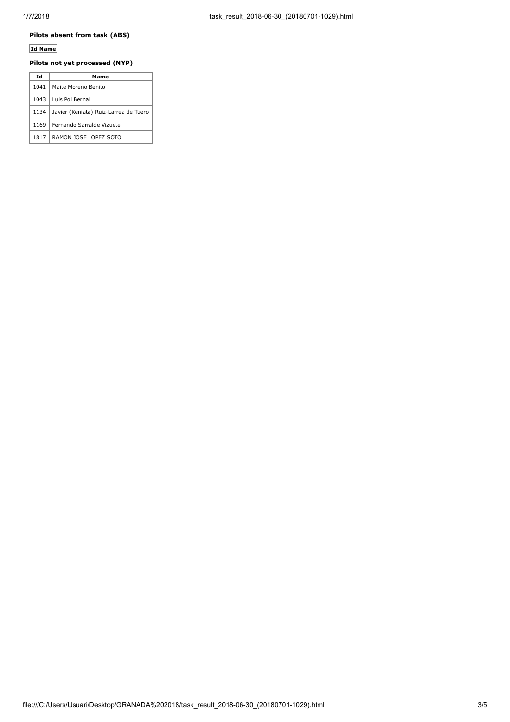## **Pilots absent from task (ABS)**

## **Id Name**

### **Pilots not yet processed (NYP)**

| Ιd   | Name                                  |
|------|---------------------------------------|
| 1041 | Maite Moreno Benito                   |
| 1043 | Luis Pol Bernal                       |
| 1134 | Javier (Keniata) Ruiz-Larrea de Tuero |
| 1169 | Fernando Sarralde Vizuete             |
| 1817 | RAMON JOSE LOPEZ SOTO                 |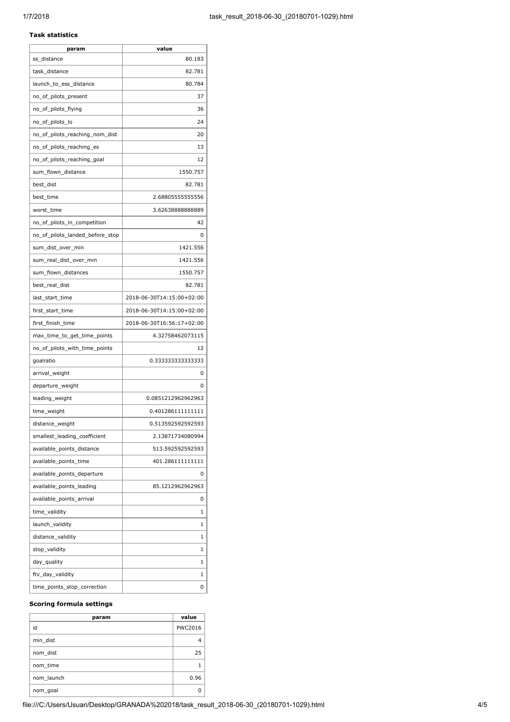## **Task statistics**

| param                           | value                     |
|---------------------------------|---------------------------|
| ss_distance                     | 80.183                    |
| task_distance                   | 82.781                    |
| launch_to_ess_distance          | 80.784                    |
| no_of_pilots_present            | 37                        |
| no_of_pilots_flying             | 36                        |
| no_of_pilots_lo                 | 24                        |
| no_of_pilots_reaching_nom_dist  | 20                        |
| no_of_pilots_reaching_es        | 13                        |
| no_of_pilots_reaching_goal      | 12                        |
| sum_flown_distance              | 1550.757                  |
| best_dist                       | 82.781                    |
| best_time                       | 2.68805555555556          |
| worst_time                      | 3.6263888888889           |
| no_of_pilots_in_competition     | 42                        |
| no_of_pilots_landed_before_stop | 0                         |
| sum_dist_over_min               | 1421.556                  |
| sum_real_dist_over_min          | 1421.556                  |
| sum flown distances             | 1550.757                  |
| best real dist                  | 82.781                    |
| last_start_time                 | 2018-06-30T14:15:00+02:00 |
| first_start_time                | 2018-06-30T14:15:00+02:00 |
| first_finish_time               | 2018-06-30T16:56:17+02:00 |
| max_time_to_get_time_points     | 4.32758462073115          |
| no_of_pilots_with_time_points   | 12                        |
| goalratio                       | 0.33333333333333          |
| arrival_weight                  | 0                         |
| departure_weight                | 0                         |
| leading_weight                  | 0.0851212962962963        |
| time_weight                     | 0.401286111111111         |
| distance_weight                 | 0.513592592592593         |
| smallest_leading_coefficient    | 2.13871734080994          |
| available_points_distance       | 513.592592592593          |
| available_points_time           | 401.286111111111          |
| available_points_departure      | 0                         |
| available_points_leading        | 85.1212962962963          |
| available_points_arrival        | 0                         |
| time_validity                   | 1                         |
| launch_validity                 | 1                         |
| distance_validity               | 1                         |
| stop_validity                   | 1                         |
| day_quality                     | 1                         |
| ftv_day_validity                | 1                         |
| time_points_stop_correction     | 0                         |

#### **Scoring formula settings**

| param      | value          |
|------------|----------------|
| id         | <b>PWC2016</b> |
| min dist   |                |
| nom dist   | 25             |
| nom time   |                |
| nom launch | 0.96           |
| nom_goal   |                |